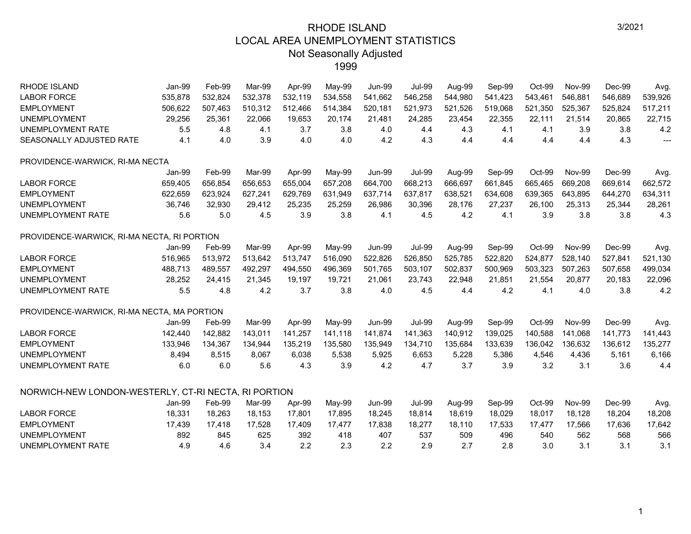| <b>RHODE ISLAND</b>                                  | Jan-99  | Feb-99  | Mar-99  | Apr-99  | May-99  | <b>Jun-99</b> | <b>Jul-99</b> | Aug-99  | Sep-99  | Oct-99  | <b>Nov-99</b> | Dec-99  | Avg.    |
|------------------------------------------------------|---------|---------|---------|---------|---------|---------------|---------------|---------|---------|---------|---------------|---------|---------|
| <b>LABOR FORCE</b>                                   | 535,878 | 532,824 | 532,378 | 532,119 | 534,558 | 541,662       | 546,258       | 544,980 | 541,423 | 543,461 | 546,881       | 546,689 | 539,926 |
| <b>EMPLOYMENT</b>                                    | 506,622 | 507,463 | 510,312 | 512,466 | 514,384 | 520,181       | 521,973       | 521,526 | 519,068 | 521,350 | 525,367       | 525,824 | 517,211 |
| <b>UNEMPLOYMENT</b>                                  | 29,256  | 25,361  | 22,066  | 19,653  | 20,174  | 21,481        | 24,285        | 23,454  | 22,355  | 22,111  | 21,514        | 20,865  | 22,715  |
| <b>UNEMPLOYMENT RATE</b>                             | 5.5     | 4.8     | 4.1     | 3.7     | 3.8     | 4.0           | 4.4           | 4.3     | 4.1     | 4.1     | 3.9           | 3.8     | 4.2     |
| SEASONALLY ADJUSTED RATE                             | 4.1     | 4.0     | 3.9     | 4.0     | 4.0     | 4.2           | 4.3           | 4.4     | 4.4     | 4.4     | 4.4           | 4.3     | $---$   |
| PROVIDENCE-WARWICK, RI-MA NECTA                      |         |         |         |         |         |               |               |         |         |         |               |         |         |
|                                                      | Jan-99  | Feb-99  | Mar-99  | Apr-99  | May-99  | <b>Jun-99</b> | <b>Jul-99</b> | Aug-99  | Sep-99  | Oct-99  | <b>Nov-99</b> | Dec-99  | Avg.    |
| <b>LABOR FORCE</b>                                   | 659,405 | 656,854 | 656,653 | 655,004 | 657,208 | 664,700       | 668,213       | 666,697 | 661,845 | 665,465 | 669,208       | 669,614 | 662,572 |
| <b>EMPLOYMENT</b>                                    | 622,659 | 623,924 | 627,241 | 629,769 | 631,949 | 637,714       | 637,817       | 638,521 | 634,608 | 639,365 | 643,895       | 644,270 | 634,311 |
| <b>UNEMPLOYMENT</b>                                  | 36,746  | 32,930  | 29,412  | 25,235  | 25,259  | 26,986        | 30,396        | 28,176  | 27,237  | 26,100  | 25,313        | 25,344  | 28,261  |
| UNEMPLOYMENT RATE                                    | 5.6     | 5.0     | 4.5     | 3.9     | 3.8     | 4.1           | 4.5           | 4.2     | 4.1     | 3.9     | 3.8           | 3.8     | 4.3     |
| PROVIDENCE-WARWICK, RI-MA NECTA, RI PORTION          |         |         |         |         |         |               |               |         |         |         |               |         |         |
|                                                      | Jan-99  | Feb-99  | Mar-99  | Apr-99  | May-99  | <b>Jun-99</b> | <b>Jul-99</b> | Aug-99  | Sep-99  | Oct-99  | <b>Nov-99</b> | Dec-99  | Avg.    |
| <b>LABOR FORCE</b>                                   | 516,965 | 513,972 | 513,642 | 513,747 | 516,090 | 522,826       | 526,850       | 525,785 | 522,820 | 524,877 | 528.140       | 527,841 | 521,130 |
| <b>EMPLOYMENT</b>                                    | 488,713 | 489,557 | 492,297 | 494,550 | 496,369 | 501,765       | 503,107       | 502,837 | 500,969 | 503,323 | 507,263       | 507,658 | 499,034 |
| <b>UNEMPLOYMENT</b>                                  | 28,252  | 24,415  | 21.345  | 19,197  | 19,721  | 21,061        | 23,743        | 22,948  | 21,851  | 21,554  | 20,877        | 20,183  | 22,096  |
| UNEMPLOYMENT RATE                                    | 5.5     | 4.8     | 4.2     | 3.7     | 3.8     | 4.0           | 4.5           | 4.4     | 4.2     | 4.1     | 4.0           | 3.8     | 4.2     |
| PROVIDENCE-WARWICK, RI-MA NECTA, MA PORTION          |         |         |         |         |         |               |               |         |         |         |               |         |         |
|                                                      | Jan-99  | Feb-99  | Mar-99  | Apr-99  | May-99  | <b>Jun-99</b> | <b>Jul-99</b> | Aug-99  | Sep-99  | Oct-99  | <b>Nov-99</b> | Dec-99  | Avg.    |
| <b>LABOR FORCE</b>                                   | 142,440 | 142,882 | 143,011 | 141,257 | 141,118 | 141,874       | 141,363       | 140,912 | 139,025 | 140,588 | 141,068       | 141,773 | 141,443 |
| <b>EMPLOYMENT</b>                                    | 133,946 | 134,367 | 134,944 | 135,219 | 135,580 | 135,949       | 134,710       | 135,684 | 133,639 | 136,042 | 136,632       | 136,612 | 135,277 |
| <b>UNEMPLOYMENT</b>                                  | 8,494   | 8,515   | 8,067   | 6,038   | 5,538   | 5,925         | 6,653         | 5,228   | 5,386   | 4,546   | 4,436         | 5,161   | 6,166   |
| UNEMPLOYMENT RATE                                    | 6.0     | 6.0     | 5.6     | 4.3     | 3.9     | 4.2           | 4.7           | 3.7     | 3.9     | 3.2     | 3.1           | 3.6     | 4.4     |
| NORWICH-NEW LONDON-WESTERLY, CT-RI NECTA, RI PORTION |         |         |         |         |         |               |               |         |         |         |               |         |         |
|                                                      | Jan-99  | Feb-99  | Mar-99  | Apr-99  | May-99  | <b>Jun-99</b> | <b>Jul-99</b> | Aug-99  | Sep-99  | Oct-99  | <b>Nov-99</b> | Dec-99  | Avg.    |
| <b>LABOR FORCE</b>                                   | 18,331  | 18,263  | 18,153  | 17,801  | 17,895  | 18,245        | 18,814        | 18,619  | 18,029  | 18,017  | 18,128        | 18,204  | 18,208  |
| <b>EMPLOYMENT</b>                                    | 17,439  | 17,418  | 17,528  | 17,409  | 17,477  | 17,838        | 18,277        | 18,110  | 17,533  | 17,477  | 17,566        | 17,636  | 17,642  |
| <b>UNEMPLOYMENT</b>                                  | 892     | 845     | 625     | 392     | 418     | 407           | 537           | 509     | 496     | 540     | 562           | 568     | 566     |
| <b>UNEMPLOYMENT RATE</b>                             | 4.9     | 4.6     | 3.4     | 2.2     | 2.3     | 2.2           | 2.9           | 2.7     | 2.8     | 3.0     | 3.1           | 3.1     | 3.1     |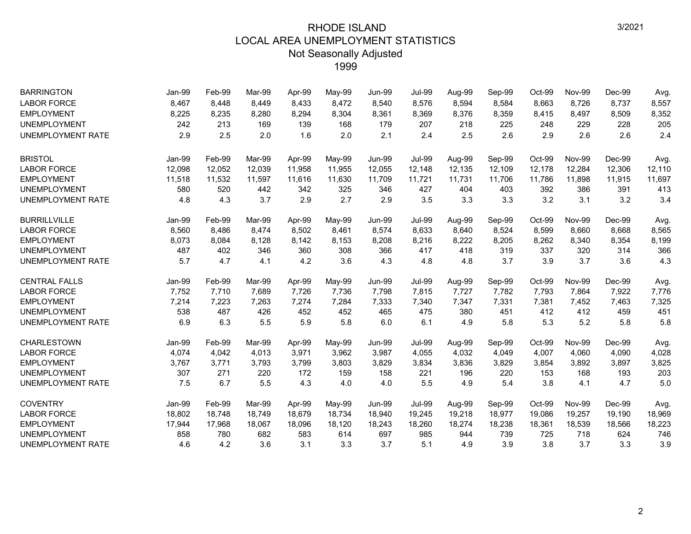| <b>BARRINGTON</b>        | Jan-99 | Feb-99 | Mar-99 | Apr-99 | May-99 | <b>Jun-99</b> | <b>Jul-99</b> | Aug-99 | Sep-99 | Oct-99 | <b>Nov-99</b> | Dec-99 | Avg.   |
|--------------------------|--------|--------|--------|--------|--------|---------------|---------------|--------|--------|--------|---------------|--------|--------|
| <b>LABOR FORCE</b>       | 8,467  | 8,448  | 8.449  | 8,433  | 8,472  | 8,540         | 8,576         | 8,594  | 8,584  | 8,663  | 8,726         | 8,737  | 8,557  |
| <b>EMPLOYMENT</b>        | 8,225  | 8,235  | 8,280  | 8,294  | 8,304  | 8,361         | 8,369         | 8,376  | 8,359  | 8,415  | 8,497         | 8,509  | 8,352  |
| <b>UNEMPLOYMENT</b>      | 242    | 213    | 169    | 139    | 168    | 179           | 207           | 218    | 225    | 248    | 229           | 228    | 205    |
| <b>UNEMPLOYMENT RATE</b> | 2.9    | 2.5    | 2.0    | 1.6    | 2.0    | 2.1           | 2.4           | 2.5    | 2.6    | 2.9    | 2.6           | 2.6    | 2.4    |
| <b>BRISTOL</b>           | Jan-99 | Feb-99 | Mar-99 | Apr-99 | May-99 | <b>Jun-99</b> | <b>Jul-99</b> | Aug-99 | Sep-99 | Oct-99 | <b>Nov-99</b> | Dec-99 | Avg.   |
| <b>LABOR FORCE</b>       | 12,098 | 12,052 | 12,039 | 11,958 | 11,955 | 12,055        | 12,148        | 12,135 | 12,109 | 12,178 | 12,284        | 12,306 | 12,110 |
| <b>EMPLOYMENT</b>        | 11,518 | 11,532 | 11,597 | 11,616 | 11,630 | 11,709        | 11,721        | 11,731 | 11,706 | 11,786 | 11,898        | 11,915 | 11,697 |
| <b>UNEMPLOYMENT</b>      | 580    | 520    | 442    | 342    | 325    | 346           | 427           | 404    | 403    | 392    | 386           | 391    | 413    |
| UNEMPLOYMENT RATE        | 4.8    | 4.3    | 3.7    | 2.9    | 2.7    | 2.9           | 3.5           | 3.3    | 3.3    | 3.2    | 3.1           | 3.2    | 3.4    |
| <b>BURRILLVILLE</b>      | Jan-99 | Feb-99 | Mar-99 | Apr-99 | May-99 | <b>Jun-99</b> | <b>Jul-99</b> | Aug-99 | Sep-99 | Oct-99 | <b>Nov-99</b> | Dec-99 | Avg.   |
| <b>LABOR FORCE</b>       | 8,560  | 8,486  | 8,474  | 8,502  | 8,461  | 8,574         | 8,633         | 8,640  | 8,524  | 8,599  | 8,660         | 8,668  | 8,565  |
| <b>EMPLOYMENT</b>        | 8,073  | 8,084  | 8,128  | 8,142  | 8,153  | 8,208         | 8,216         | 8,222  | 8,205  | 8,262  | 8,340         | 8,354  | 8,199  |
| <b>UNEMPLOYMENT</b>      | 487    | 402    | 346    | 360    | 308    | 366           | 417           | 418    | 319    | 337    | 320           | 314    | 366    |
| <b>UNEMPLOYMENT RATE</b> | 5.7    | 4.7    | 4.1    | 4.2    | 3.6    | 4.3           | 4.8           | 4.8    | 3.7    | 3.9    | 3.7           | 3.6    | 4.3    |
| <b>CENTRAL FALLS</b>     | Jan-99 | Feb-99 | Mar-99 | Apr-99 | May-99 | <b>Jun-99</b> | <b>Jul-99</b> | Aug-99 | Sep-99 | Oct-99 | <b>Nov-99</b> | Dec-99 | Avg.   |
| <b>LABOR FORCE</b>       | 7,752  | 7,710  | 7,689  | 7,726  | 7,736  | 7,798         | 7,815         | 7,727  | 7,782  | 7,793  | 7,864         | 7,922  | 7,776  |
| <b>EMPLOYMENT</b>        | 7,214  | 7,223  | 7,263  | 7,274  | 7,284  | 7,333         | 7,340         | 7,347  | 7,331  | 7,381  | 7,452         | 7,463  | 7,325  |
| <b>UNEMPLOYMENT</b>      | 538    | 487    | 426    | 452    | 452    | 465           | 475           | 380    | 451    | 412    | 412           | 459    | 451    |
| <b>UNEMPLOYMENT RATE</b> | 6.9    | 6.3    | 5.5    | 5.9    | 5.8    | 6.0           | 6.1           | 4.9    | 5.8    | 5.3    | 5.2           | 5.8    | 5.8    |
| <b>CHARLESTOWN</b>       | Jan-99 | Feb-99 | Mar-99 | Apr-99 | May-99 | <b>Jun-99</b> | <b>Jul-99</b> | Aug-99 | Sep-99 | Oct-99 | <b>Nov-99</b> | Dec-99 | Avg.   |
| <b>LABOR FORCE</b>       | 4,074  | 4,042  | 4.013  | 3,971  | 3,962  | 3,987         | 4,055         | 4,032  | 4,049  | 4,007  | 4,060         | 4,090  | 4,028  |
| <b>EMPLOYMENT</b>        | 3,767  | 3,771  | 3,793  | 3,799  | 3,803  | 3,829         | 3,834         | 3,836  | 3,829  | 3,854  | 3,892         | 3,897  | 3,825  |
| <b>UNEMPLOYMENT</b>      | 307    | 271    | 220    | 172    | 159    | 158           | 221           | 196    | 220    | 153    | 168           | 193    | 203    |
| UNEMPLOYMENT RATE        | 7.5    | 6.7    | 5.5    | 4.3    | 4.0    | 4.0           | 5.5           | 4.9    | 5.4    | 3.8    | 4.1           | 4.7    | 5.0    |
| <b>COVENTRY</b>          | Jan-99 | Feb-99 | Mar-99 | Apr-99 | May-99 | Jun-99        | <b>Jul-99</b> | Aug-99 | Sep-99 | Oct-99 | <b>Nov-99</b> | Dec-99 | Avg.   |
| <b>LABOR FORCE</b>       | 18,802 | 18,748 | 18,749 | 18,679 | 18,734 | 18,940        | 19,245        | 19,218 | 18,977 | 19,086 | 19,257        | 19,190 | 18,969 |
| <b>EMPLOYMENT</b>        | 17,944 | 17,968 | 18,067 | 18,096 | 18,120 | 18,243        | 18,260        | 18,274 | 18,238 | 18,361 | 18,539        | 18,566 | 18,223 |
| <b>UNEMPLOYMENT</b>      | 858    | 780    | 682    | 583    | 614    | 697           | 985           | 944    | 739    | 725    | 718           | 624    | 746    |
| UNEMPLOYMENT RATE        | 4.6    | 4.2    | 3.6    | 3.1    | 3.3    | 3.7           | 5.1           | 4.9    | 3.9    | 3.8    | 3.7           | 3.3    | 3.9    |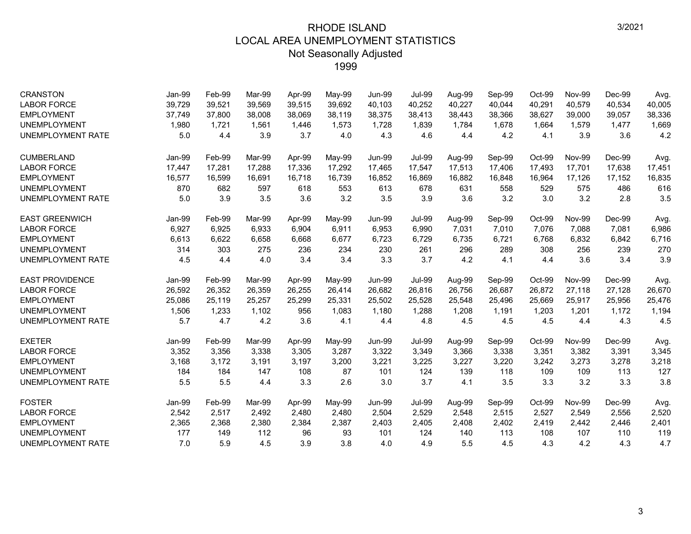| <b>CRANSTON</b><br><b>LABOR FORCE</b> | Jan-99<br>39,729 | Feb-99<br>39,521 | Mar-99<br>39,569 | Apr-99<br>39,515 | May-99<br>39,692 | <b>Jun-99</b><br>40,103 | <b>Jul-99</b><br>40,252 | Aug-99<br>40,227 | Sep-99<br>40,044 | Oct-99<br>40,291 | <b>Nov-99</b><br>40,579 | Dec-99<br>40,534 | Avg.<br>40,005 |
|---------------------------------------|------------------|------------------|------------------|------------------|------------------|-------------------------|-------------------------|------------------|------------------|------------------|-------------------------|------------------|----------------|
| <b>EMPLOYMENT</b>                     | 37,749           | 37,800           | 38,008           | 38,069           | 38,119           | 38,375                  | 38,413                  | 38,443           | 38,366           | 38,627           | 39,000                  | 39,057           | 38,336         |
| <b>UNEMPLOYMENT</b>                   | 1,980            | 1,721            | 1,561            | 1,446            | 1,573            | 1,728                   | 1,839                   | 1,784            | 1,678            | 1,664            | 1,579                   | 1,477            | 1,669          |
| UNEMPLOYMENT RATE                     | 5.0              | 4.4              | 3.9              | 3.7              | 4.0              | 4.3                     | 4.6                     | 4.4              | 4.2              | 4.1              | 3.9                     | 3.6              | 4.2            |
|                                       |                  |                  |                  |                  |                  |                         |                         |                  |                  |                  |                         |                  |                |
| <b>CUMBERLAND</b>                     | Jan-99           | Feb-99           | Mar-99           | Apr-99           | May-99           | <b>Jun-99</b>           | <b>Jul-99</b>           | Aug-99           | Sep-99           | Oct-99           | <b>Nov-99</b>           | Dec-99           | Avg.           |
| <b>LABOR FORCE</b>                    | 17,447           | 17,281           | 17.288           | 17.336           | 17,292           | 17,465                  | 17,547                  | 17,513           | 17,406           | 17,493           | 17,701                  | 17,638           | 17,451         |
| <b>EMPLOYMENT</b>                     | 16,577           | 16,599           | 16,691           | 16,718           | 16,739           | 16,852                  | 16,869                  | 16,882           | 16,848           | 16,964           | 17,126                  | 17,152           | 16,835         |
| <b>UNEMPLOYMENT</b>                   | 870              | 682              | 597              | 618              | 553              | 613                     | 678                     | 631              | 558              | 529              | 575                     | 486              | 616            |
| <b>UNEMPLOYMENT RATE</b>              | 5.0              | 3.9              | 3.5              | 3.6              | 3.2              | 3.5                     | 3.9                     | 3.6              | 3.2              | 3.0              | 3.2                     | 2.8              | 3.5            |
| <b>EAST GREENWICH</b>                 | Jan-99           | Feb-99           | Mar-99           | Apr-99           | May-99           | <b>Jun-99</b>           | <b>Jul-99</b>           | Aug-99           | Sep-99           | Oct-99           | <b>Nov-99</b>           | Dec-99           | Avg.           |
| <b>LABOR FORCE</b>                    | 6,927            | 6,925            | 6.933            | 6,904            | 6,911            | 6,953                   | 6,990                   | 7,031            | 7,010            | 7,076            | 7,088                   | 7,081            | 6,986          |
| <b>EMPLOYMENT</b>                     | 6,613            | 6,622            | 6,658            | 6,668            | 6,677            | 6,723                   | 6,729                   | 6,735            | 6,721            | 6,768            | 6,832                   | 6,842            | 6,716          |
| <b>UNEMPLOYMENT</b>                   | 314              | 303              | 275              | 236              | 234              | 230                     | 261                     | 296              | 289              | 308              | 256                     | 239              | 270            |
| UNEMPLOYMENT RATE                     | 4.5              | 4.4              | 4.0              | 3.4              | 3.4              | 3.3                     | 3.7                     | 4.2              | 4.1              | 4.4              | 3.6                     | 3.4              | 3.9            |
| <b>EAST PROVIDENCE</b>                | Jan-99           | Feb-99           | Mar-99           | Apr-99           | May-99           | <b>Jun-99</b>           | <b>Jul-99</b>           | Aug-99           | Sep-99           | Oct-99           | <b>Nov-99</b>           | Dec-99           | Avg.           |
| <b>LABOR FORCE</b>                    | 26,592           | 26,352           | 26,359           | 26,255           | 26,414           | 26,682                  | 26,816                  | 26,756           | 26,687           | 26,872           | 27,118                  | 27,128           | 26,670         |
| <b>EMPLOYMENT</b>                     | 25,086           | 25,119           | 25,257           | 25,299           | 25,331           | 25,502                  | 25,528                  | 25,548           | 25,496           | 25,669           | 25,917                  | 25,956           | 25,476         |
| <b>UNEMPLOYMENT</b>                   | 1,506            | 1,233            | 1,102            | 956              | 1,083            | 1,180                   | 1,288                   | 1,208            | 1,191            | 1,203            | 1,201                   | 1,172            | 1,194          |
| UNEMPLOYMENT RATE                     | 5.7              | 4.7              | 4.2              | 3.6              | 4.1              | 4.4                     | 4.8                     | 4.5              | 4.5              | 4.5              | 4.4                     | 4.3              | 4.5            |
| <b>EXETER</b>                         | Jan-99           | Feb-99           | Mar-99           | Apr-99           | May-99           | <b>Jun-99</b>           | <b>Jul-99</b>           | Aug-99           | Sep-99           | Oct-99           | <b>Nov-99</b>           | Dec-99           | Avg.           |
| <b>LABOR FORCE</b>                    | 3,352            | 3,356            | 3,338            | 3,305            | 3,287            | 3,322                   | 3,349                   | 3,366            | 3,338            | 3,351            | 3,382                   | 3,391            | 3,345          |
| <b>EMPLOYMENT</b>                     | 3,168            | 3,172            | 3,191            | 3,197            | 3,200            | 3,221                   | 3,225                   | 3,227            | 3,220            | 3,242            | 3,273                   | 3,278            | 3,218          |
| <b>UNEMPLOYMENT</b>                   | 184              | 184              | 147              | 108              | 87               | 101                     | 124                     | 139              | 118              | 109              | 109                     | 113              | 127            |
| UNEMPLOYMENT RATE                     | 5.5              | 5.5              | 4.4              | 3.3              | 2.6              | 3.0                     | 3.7                     | 4.1              | 3.5              | 3.3              | 3.2                     | 3.3              | 3.8            |
| <b>FOSTER</b>                         | Jan-99           | Feb-99           | Mar-99           | Apr-99           | May-99           | <b>Jun-99</b>           | <b>Jul-99</b>           | Aug-99           | Sep-99           | Oct-99           | <b>Nov-99</b>           | Dec-99           | Avg.           |
| <b>LABOR FORCE</b>                    | 2,542            | 2,517            | 2,492            | 2,480            | 2,480            | 2,504                   | 2,529                   | 2,548            | 2,515            | 2,527            | 2,549                   | 2,556            | 2,520          |
| <b>EMPLOYMENT</b>                     | 2,365            | 2,368            | 2,380            | 2,384            | 2,387            | 2,403                   | 2,405                   | 2,408            | 2,402            | 2,419            | 2,442                   | 2,446            | 2,401          |
| <b>UNEMPLOYMENT</b>                   | 177              | 149              | 112              | 96               | 93               | 101                     | 124                     | 140              | 113              | 108              | 107                     | 110              | 119            |
| <b>UNEMPLOYMENT RATE</b>              | 7.0              | 5.9              | 4.5              | 3.9              | 3.8              | 4.0                     | 4.9                     | 5.5              | 4.5              | 4.3              | 4.2                     | 4.3              | 4.7            |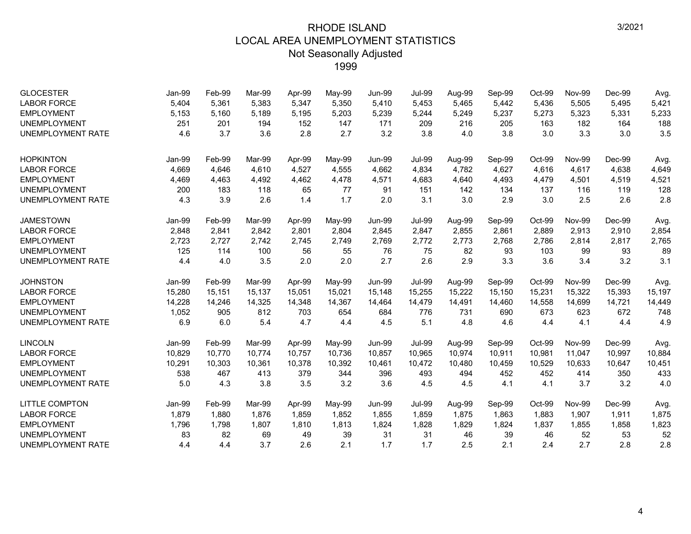| <b>GLOCESTER</b>         | Jan-99        | Feb-99 | Mar-99 | Apr-99 | May-99 | <b>Jun-99</b> | <b>Jul-99</b> | Aug-99 | Sep-99 | Oct-99 | <b>Nov-99</b> | Dec-99 | Avg.   |
|--------------------------|---------------|--------|--------|--------|--------|---------------|---------------|--------|--------|--------|---------------|--------|--------|
| <b>LABOR FORCE</b>       | 5,404         | 5,361  | 5,383  | 5,347  | 5,350  | 5,410         | 5,453         | 5,465  | 5,442  | 5,436  | 5,505         | 5,495  | 5,421  |
| <b>EMPLOYMENT</b>        | 5,153         | 5,160  | 5,189  | 5,195  | 5,203  | 5,239         | 5,244         | 5,249  | 5,237  | 5,273  | 5,323         | 5,331  | 5,233  |
| <b>UNEMPLOYMENT</b>      | 251           | 201    | 194    | 152    | 147    | 171           | 209           | 216    | 205    | 163    | 182           | 164    | 188    |
| <b>UNEMPLOYMENT RATE</b> | 4.6           | 3.7    | 3.6    | 2.8    | 2.7    | 3.2           | 3.8           | 4.0    | 3.8    | 3.0    | 3.3           | 3.0    | 3.5    |
| <b>HOPKINTON</b>         | <b>Jan-99</b> | Feb-99 | Mar-99 | Apr-99 | May-99 | <b>Jun-99</b> | <b>Jul-99</b> | Aug-99 | Sep-99 | Oct-99 | <b>Nov-99</b> | Dec-99 | Avg.   |
| <b>LABOR FORCE</b>       | 4,669         | 4,646  | 4.610  | 4,527  | 4,555  | 4,662         | 4,834         | 4,782  | 4,627  | 4,616  | 4,617         | 4,638  | 4,649  |
| <b>EMPLOYMENT</b>        | 4,469         | 4,463  | 4,492  | 4,462  | 4,478  | 4,571         | 4,683         | 4,640  | 4,493  | 4,479  | 4,501         | 4,519  | 4,521  |
| <b>UNEMPLOYMENT</b>      | 200           | 183    | 118    | 65     | 77     | 91            | 151           | 142    | 134    | 137    | 116           | 119    | 128    |
| <b>UNEMPLOYMENT RATE</b> | 4.3           | 3.9    | 2.6    | 1.4    | 1.7    | 2.0           | 3.1           | 3.0    | 2.9    | 3.0    | 2.5           | 2.6    | 2.8    |
| <b>JAMESTOWN</b>         | Jan-99        | Feb-99 | Mar-99 | Apr-99 | May-99 | <b>Jun-99</b> | <b>Jul-99</b> | Aug-99 | Sep-99 | Oct-99 | <b>Nov-99</b> | Dec-99 | Avg.   |
| <b>LABOR FORCE</b>       | 2,848         | 2,841  | 2,842  | 2,801  | 2,804  | 2,845         | 2,847         | 2,855  | 2,861  | 2,889  | 2,913         | 2,910  | 2,854  |
| <b>EMPLOYMENT</b>        | 2,723         | 2,727  | 2,742  | 2,745  | 2,749  | 2,769         | 2,772         | 2,773  | 2,768  | 2,786  | 2,814         | 2,817  | 2,765  |
| <b>UNEMPLOYMENT</b>      | 125           | 114    | 100    | 56     | 55     | 76            | 75            | 82     | 93     | 103    | 99            | 93     | 89     |
| <b>UNEMPLOYMENT RATE</b> | 4.4           | 4.0    | 3.5    | 2.0    | 2.0    | 2.7           | 2.6           | 2.9    | 3.3    | 3.6    | 3.4           | 3.2    | 3.1    |
| <b>JOHNSTON</b>          | <b>Jan-99</b> | Feb-99 | Mar-99 | Apr-99 | May-99 | <b>Jun-99</b> | <b>Jul-99</b> | Aug-99 | Sep-99 | Oct-99 | <b>Nov-99</b> | Dec-99 | Avg.   |
| <b>LABOR FORCE</b>       | 15,280        | 15,151 | 15,137 | 15,051 | 15,021 | 15,148        | 15,255        | 15,222 | 15,150 | 15,231 | 15,322        | 15,393 | 15,197 |
| <b>EMPLOYMENT</b>        | 14,228        | 14,246 | 14,325 | 14,348 | 14,367 | 14,464        | 14,479        | 14,491 | 14,460 | 14,558 | 14,699        | 14,721 | 14,449 |
| <b>UNEMPLOYMENT</b>      | 1,052         | 905    | 812    | 703    | 654    | 684           | 776           | 731    | 690    | 673    | 623           | 672    | 748    |
| <b>UNEMPLOYMENT RATE</b> | 6.9           | 6.0    | 5.4    | 4.7    | 4.4    | 4.5           | 5.1           | 4.8    | 4.6    | 4.4    | 4.1           | 4.4    | 4.9    |
| <b>LINCOLN</b>           | Jan-99        | Feb-99 | Mar-99 | Apr-99 | May-99 | <b>Jun-99</b> | <b>Jul-99</b> | Aug-99 | Sep-99 | Oct-99 | <b>Nov-99</b> | Dec-99 | Avg.   |
| <b>LABOR FORCE</b>       | 10,829        | 10,770 | 10.774 | 10.757 | 10,736 | 10,857        | 10.965        | 10,974 | 10,911 | 10,981 | 11.047        | 10,997 | 10,884 |
| <b>EMPLOYMENT</b>        | 10,291        | 10,303 | 10,361 | 10,378 | 10,392 | 10,461        | 10,472        | 10,480 | 10,459 | 10,529 | 10,633        | 10,647 | 10,451 |
| <b>UNEMPLOYMENT</b>      | 538           | 467    | 413    | 379    | 344    | 396           | 493           | 494    | 452    | 452    | 414           | 350    | 433    |
| <b>UNEMPLOYMENT RATE</b> | 5.0           | 4.3    | 3.8    | 3.5    | 3.2    | 3.6           | 4.5           | 4.5    | 4.1    | 4.1    | 3.7           | 3.2    | 4.0    |
| <b>LITTLE COMPTON</b>    | Jan-99        | Feb-99 | Mar-99 | Apr-99 | May-99 | <b>Jun-99</b> | <b>Jul-99</b> | Aug-99 | Sep-99 | Oct-99 | <b>Nov-99</b> | Dec-99 | Avg.   |
| <b>LABOR FORCE</b>       | 1,879         | 1,880  | 1,876  | 1,859  | 1,852  | 1,855         | 1,859         | 1,875  | 1,863  | 1,883  | 1,907         | 1,911  | 1,875  |
| <b>EMPLOYMENT</b>        | 1,796         | 1,798  | 1,807  | 1,810  | 1,813  | 1,824         | 1,828         | 1,829  | 1,824  | 1,837  | 1,855         | 1,858  | 1,823  |
| <b>UNEMPLOYMENT</b>      | 83            | 82     | 69     | 49     | 39     | 31            | 31            | 46     | 39     | 46     | 52            | 53     | 52     |
| <b>UNEMPLOYMENT RATE</b> | 4.4           | 4.4    | 3.7    | 2.6    | 2.1    | 1.7           | 1.7           | 2.5    | 2.1    | 2.4    | 2.7           | 2.8    | 2.8    |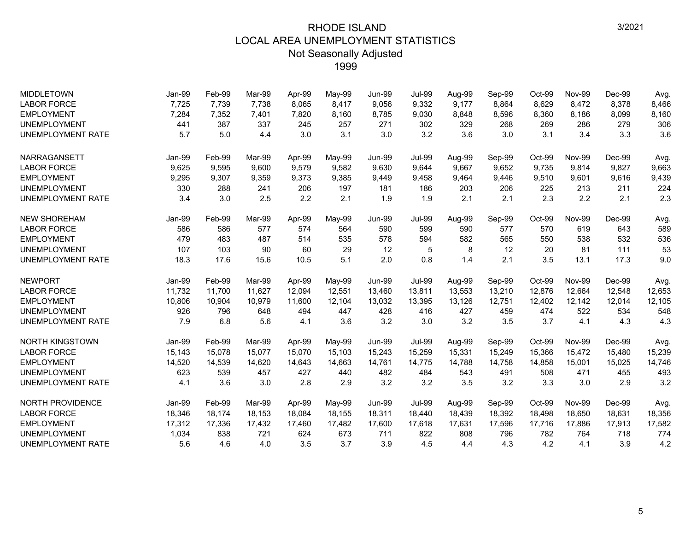| <b>MIDDLETOWN</b>        | Jan-99        | Feb-99 | Mar-99 | Apr-99 | May-99 | <b>Jun-99</b> | <b>Jul-99</b> | Aug-99 | Sep-99 | Oct-99 | <b>Nov-99</b> | Dec-99 | Avg.   |
|--------------------------|---------------|--------|--------|--------|--------|---------------|---------------|--------|--------|--------|---------------|--------|--------|
| <b>LABOR FORCE</b>       | 7,725         | 7,739  | 7,738  | 8,065  | 8,417  | 9,056         | 9,332         | 9,177  | 8,864  | 8,629  | 8,472         | 8,378  | 8,466  |
| <b>EMPLOYMENT</b>        | 7,284         | 7,352  | 7,401  | 7,820  | 8,160  | 8,785         | 9,030         | 8,848  | 8,596  | 8,360  | 8,186         | 8,099  | 8,160  |
| <b>UNEMPLOYMENT</b>      | 441           | 387    | 337    | 245    | 257    | 271           | 302           | 329    | 268    | 269    | 286           | 279    | 306    |
| <b>UNEMPLOYMENT RATE</b> | 5.7           | 5.0    | 4.4    | 3.0    | 3.1    | 3.0           | 3.2           | 3.6    | 3.0    | 3.1    | 3.4           | 3.3    | 3.6    |
| <b>NARRAGANSETT</b>      | Jan-99        | Feb-99 | Mar-99 | Apr-99 | May-99 | <b>Jun-99</b> | <b>Jul-99</b> | Aug-99 | Sep-99 | Oct-99 | <b>Nov-99</b> | Dec-99 | Avg.   |
| <b>LABOR FORCE</b>       | 9,625         | 9,595  | 9.600  | 9,579  | 9,582  | 9,630         | 9,644         | 9,667  | 9,652  | 9,735  | 9,814         | 9,827  | 9,663  |
| <b>EMPLOYMENT</b>        | 9,295         | 9,307  | 9,359  | 9,373  | 9,385  | 9,449         | 9,458         | 9,464  | 9,446  | 9,510  | 9,601         | 9,616  | 9,439  |
| <b>UNEMPLOYMENT</b>      | 330           | 288    | 241    | 206    | 197    | 181           | 186           | 203    | 206    | 225    | 213           | 211    | 224    |
| <b>UNEMPLOYMENT RATE</b> | 3.4           | 3.0    | 2.5    | 2.2    | 2.1    | 1.9           | 1.9           | 2.1    | 2.1    | 2.3    | 2.2           | 2.1    | 2.3    |
| <b>NEW SHOREHAM</b>      | <b>Jan-99</b> | Feb-99 | Mar-99 | Apr-99 | May-99 | <b>Jun-99</b> | <b>Jul-99</b> | Aug-99 | Sep-99 | Oct-99 | <b>Nov-99</b> | Dec-99 | Avg.   |
| <b>LABOR FORCE</b>       | 586           | 586    | 577    | 574    | 564    | 590           | 599           | 590    | 577    | 570    | 619           | 643    | 589    |
| <b>EMPLOYMENT</b>        | 479           | 483    | 487    | 514    | 535    | 578           | 594           | 582    | 565    | 550    | 538           | 532    | 536    |
| <b>UNEMPLOYMENT</b>      | 107           | 103    | 90     | 60     | 29     | 12            | 5             | 8      | 12     | 20     | 81            | 111    | 53     |
| <b>UNEMPLOYMENT RATE</b> | 18.3          | 17.6   | 15.6   | 10.5   | 5.1    | 2.0           | 0.8           | 1.4    | 2.1    | 3.5    | 13.1          | 17.3   | 9.0    |
| <b>NEWPORT</b>           | <b>Jan-99</b> | Feb-99 | Mar-99 | Apr-99 | May-99 | <b>Jun-99</b> | <b>Jul-99</b> | Aug-99 | Sep-99 | Oct-99 | <b>Nov-99</b> | Dec-99 | Avg.   |
| <b>LABOR FORCE</b>       | 11,732        | 11,700 | 11,627 | 12,094 | 12,551 | 13,460        | 13,811        | 13,553 | 13,210 | 12,876 | 12,664        | 12,548 | 12,653 |
| <b>EMPLOYMENT</b>        | 10,806        | 10,904 | 10,979 | 11,600 | 12,104 | 13,032        | 13,395        | 13,126 | 12,751 | 12,402 | 12,142        | 12,014 | 12,105 |
| <b>UNEMPLOYMENT</b>      | 926           | 796    | 648    | 494    | 447    | 428           | 416           | 427    | 459    | 474    | 522           | 534    | 548    |
| <b>UNEMPLOYMENT RATE</b> | 7.9           | 6.8    | 5.6    | 4.1    | 3.6    | 3.2           | 3.0           | 3.2    | 3.5    | 3.7    | 4.1           | 4.3    | 4.3    |
| <b>NORTH KINGSTOWN</b>   | <b>Jan-99</b> | Feb-99 | Mar-99 | Apr-99 | May-99 | <b>Jun-99</b> | <b>Jul-99</b> | Aug-99 | Sep-99 | Oct-99 | <b>Nov-99</b> | Dec-99 | Avg.   |
| <b>LABOR FORCE</b>       | 15,143        | 15,078 | 15,077 | 15,070 | 15,103 | 15,243        | 15,259        | 15,331 | 15,249 | 15,366 | 15,472        | 15,480 | 15,239 |
| <b>EMPLOYMENT</b>        | 14.520        | 14,539 | 14.620 | 14.643 | 14,663 | 14.761        | 14.775        | 14.788 | 14.758 | 14.858 | 15.001        | 15,025 | 14,746 |
| <b>UNEMPLOYMENT</b>      | 623           | 539    | 457    | 427    | 440    | 482           | 484           | 543    | 491    | 508    | 471           | 455    | 493    |
| <b>UNEMPLOYMENT RATE</b> | 4.1           | 3.6    | 3.0    | 2.8    | 2.9    | 3.2           | 3.2           | 3.5    | 3.2    | 3.3    | 3.0           | 2.9    | 3.2    |
| <b>NORTH PROVIDENCE</b>  | <b>Jan-99</b> | Feb-99 | Mar-99 | Apr-99 | May-99 | <b>Jun-99</b> | <b>Jul-99</b> | Aug-99 | Sep-99 | Oct-99 | <b>Nov-99</b> | Dec-99 | Avg.   |
| <b>LABOR FORCE</b>       | 18,346        | 18,174 | 18,153 | 18,084 | 18,155 | 18,311        | 18,440        | 18,439 | 18,392 | 18,498 | 18,650        | 18,631 | 18,356 |
| <b>EMPLOYMENT</b>        | 17,312        | 17,336 | 17,432 | 17,460 | 17,482 | 17,600        | 17,618        | 17,631 | 17,596 | 17,716 | 17,886        | 17,913 | 17,582 |
| <b>UNEMPLOYMENT</b>      | 1,034         | 838    | 721    | 624    | 673    | 711           | 822           | 808    | 796    | 782    | 764           | 718    | 774    |
| <b>UNEMPLOYMENT RATE</b> | 5.6           | 4.6    | 4.0    | 3.5    | 3.7    | 3.9           | 4.5           | 4.4    | 4.3    | 4.2    | 4.1           | 3.9    | 4.2    |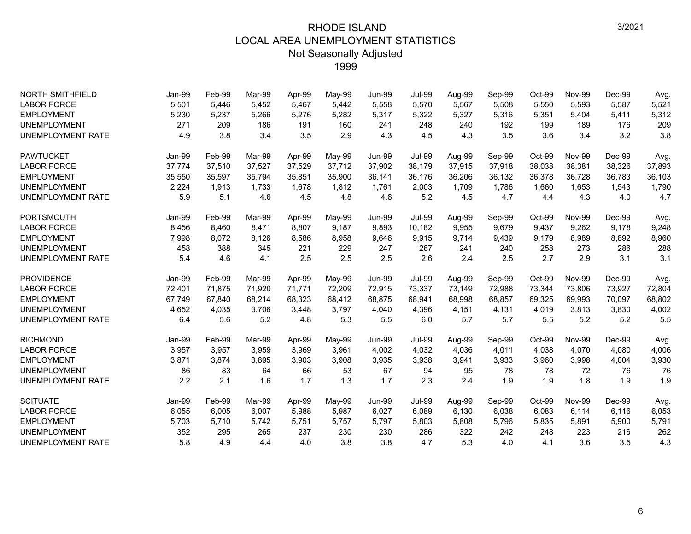| <b>NORTH SMITHFIELD</b>  | Jan-99 | Feb-99 | Mar-99 | Apr-99 | May-99 | <b>Jun-99</b> | <b>Jul-99</b> | Aug-99 | Sep-99 | Oct-99 | <b>Nov-99</b> | Dec-99 | Avg.   |
|--------------------------|--------|--------|--------|--------|--------|---------------|---------------|--------|--------|--------|---------------|--------|--------|
| <b>LABOR FORCE</b>       | 5,501  | 5,446  | 5.452  | 5,467  | 5,442  | 5,558         | 5,570         | 5,567  | 5,508  | 5,550  | 5,593         | 5,587  | 5,521  |
| <b>EMPLOYMENT</b>        | 5,230  | 5,237  | 5,266  | 5,276  | 5,282  | 5,317         | 5,322         | 5,327  | 5,316  | 5,351  | 5,404         | 5,411  | 5,312  |
| <b>UNEMPLOYMENT</b>      | 271    | 209    | 186    | 191    | 160    | 241           | 248           | 240    | 192    | 199    | 189           | 176    | 209    |
| <b>UNEMPLOYMENT RATE</b> | 4.9    | 3.8    | 3.4    | 3.5    | 2.9    | 4.3           | 4.5           | 4.3    | 3.5    | 3.6    | 3.4           | 3.2    | 3.8    |
| <b>PAWTUCKET</b>         | Jan-99 | Feb-99 | Mar-99 | Apr-99 | May-99 | <b>Jun-99</b> | <b>Jul-99</b> | Aug-99 | Sep-99 | Oct-99 | <b>Nov-99</b> | Dec-99 | Avg.   |
| <b>LABOR FORCE</b>       | 37,774 | 37,510 | 37,527 | 37,529 | 37,712 | 37,902        | 38,179        | 37,915 | 37,918 | 38,038 | 38,381        | 38,326 | 37,893 |
| <b>EMPLOYMENT</b>        | 35,550 | 35,597 | 35,794 | 35,851 | 35,900 | 36,141        | 36,176        | 36,206 | 36,132 | 36,378 | 36,728        | 36,783 | 36,103 |
| <b>UNEMPLOYMENT</b>      | 2,224  | 1,913  | 1,733  | 1,678  | 1,812  | 1,761         | 2,003         | 1,709  | 1,786  | 1,660  | 1,653         | 1,543  | 1,790  |
| <b>UNEMPLOYMENT RATE</b> | 5.9    | 5.1    | 4.6    | 4.5    | 4.8    | 4.6           | 5.2           | 4.5    | 4.7    | 4.4    | 4.3           | 4.0    | 4.7    |
| <b>PORTSMOUTH</b>        | Jan-99 | Feb-99 | Mar-99 | Apr-99 | May-99 | <b>Jun-99</b> | <b>Jul-99</b> | Aug-99 | Sep-99 | Oct-99 | <b>Nov-99</b> | Dec-99 | Avg.   |
| <b>LABOR FORCE</b>       | 8,456  | 8,460  | 8,471  | 8,807  | 9,187  | 9,893         | 10,182        | 9,955  | 9,679  | 9,437  | 9,262         | 9,178  | 9,248  |
| <b>EMPLOYMENT</b>        | 7,998  | 8,072  | 8,126  | 8,586  | 8,958  | 9,646         | 9,915         | 9,714  | 9,439  | 9,179  | 8,989         | 8,892  | 8,960  |
| <b>UNEMPLOYMENT</b>      | 458    | 388    | 345    | 221    | 229    | 247           | 267           | 241    | 240    | 258    | 273           | 286    | 288    |
| <b>UNEMPLOYMENT RATE</b> | 5.4    | 4.6    | 4.1    | 2.5    | 2.5    | 2.5           | 2.6           | 2.4    | 2.5    | 2.7    | 2.9           | 3.1    | 3.1    |
| <b>PROVIDENCE</b>        | Jan-99 | Feb-99 | Mar-99 | Apr-99 | May-99 | <b>Jun-99</b> | <b>Jul-99</b> | Aug-99 | Sep-99 | Oct-99 | <b>Nov-99</b> | Dec-99 | Avg.   |
| <b>LABOR FORCE</b>       | 72,401 | 71,875 | 71,920 | 71.771 | 72,209 | 72,915        | 73,337        | 73,149 | 72,988 | 73,344 | 73,806        | 73,927 | 72,804 |
| <b>EMPLOYMENT</b>        | 67,749 | 67.840 | 68.214 | 68,323 | 68,412 | 68.875        | 68.941        | 68,998 | 68.857 | 69.325 | 69.993        | 70.097 | 68,802 |
| <b>UNEMPLOYMENT</b>      | 4,652  | 4,035  | 3,706  | 3,448  | 3,797  | 4,040         | 4,396         | 4,151  | 4,131  | 4,019  | 3,813         | 3,830  | 4,002  |
| <b>UNEMPLOYMENT RATE</b> | 6.4    | 5.6    | 5.2    | 4.8    | 5.3    | 5.5           | 6.0           | 5.7    | 5.7    | 5.5    | 5.2           | 5.2    | 5.5    |
| <b>RICHMOND</b>          | Jan-99 | Feb-99 | Mar-99 | Apr-99 | May-99 | <b>Jun-99</b> | <b>Jul-99</b> | Aug-99 | Sep-99 | Oct-99 | <b>Nov-99</b> | Dec-99 | Avg.   |
| <b>LABOR FORCE</b>       | 3,957  | 3,957  | 3,959  | 3,969  | 3,961  | 4,002         | 4,032         | 4,036  | 4,011  | 4,038  | 4,070         | 4,080  | 4,006  |
| <b>EMPLOYMENT</b>        | 3,871  | 3,874  | 3,895  | 3,903  | 3,908  | 3,935         | 3,938         | 3,941  | 3,933  | 3,960  | 3,998         | 4,004  | 3,930  |
| <b>UNEMPLOYMENT</b>      | 86     | 83     | 64     | 66     | 53     | 67            | 94            | 95     | 78     | 78     | 72            | 76     | 76     |
| <b>UNEMPLOYMENT RATE</b> | 2.2    | 2.1    | 1.6    | 1.7    | 1.3    | 1.7           | 2.3           | 2.4    | 1.9    | 1.9    | 1.8           | 1.9    | 1.9    |
| <b>SCITUATE</b>          | Jan-99 | Feb-99 | Mar-99 | Apr-99 | May-99 | <b>Jun-99</b> | <b>Jul-99</b> | Aug-99 | Sep-99 | Oct-99 | <b>Nov-99</b> | Dec-99 | Avg.   |
| <b>LABOR FORCE</b>       | 6,055  | 6,005  | 6,007  | 5,988  | 5,987  | 6,027         | 6,089         | 6,130  | 6,038  | 6,083  | 6,114         | 6,116  | 6,053  |
| <b>EMPLOYMENT</b>        | 5,703  | 5,710  | 5,742  | 5,751  | 5,757  | 5,797         | 5,803         | 5,808  | 5,796  | 5,835  | 5,891         | 5,900  | 5,791  |
| <b>UNEMPLOYMENT</b>      | 352    | 295    | 265    | 237    | 230    | 230           | 286           | 322    | 242    | 248    | 223           | 216    | 262    |
| <b>UNEMPLOYMENT RATE</b> | 5.8    | 4.9    | 4.4    | 4.0    | 3.8    | 3.8           | 4.7           | 5.3    | 4.0    | 4.1    | 3.6           | 3.5    | 4.3    |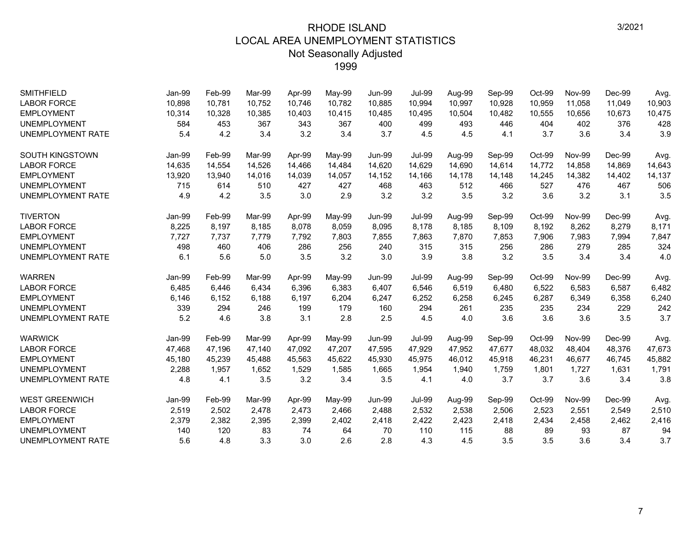| <b>SMITHFIELD</b>        | Jan-99        | Feb-99 | Mar-99 | Apr-99 | May-99 | <b>Jun-99</b> | <b>Jul-99</b> | Aug-99 | Sep-99 | Oct-99 | <b>Nov-99</b> | Dec-99 | Avg.   |
|--------------------------|---------------|--------|--------|--------|--------|---------------|---------------|--------|--------|--------|---------------|--------|--------|
| <b>LABOR FORCE</b>       | 10,898        | 10,781 | 10.752 | 10,746 | 10,782 | 10,885        | 10,994        | 10,997 | 10,928 | 10,959 | 11,058        | 11,049 | 10,903 |
| <b>EMPLOYMENT</b>        | 10,314        | 10,328 | 10,385 | 10,403 | 10,415 | 10,485        | 10,495        | 10,504 | 10,482 | 10,555 | 10,656        | 10,673 | 10,475 |
| <b>UNEMPLOYMENT</b>      | 584           | 453    | 367    | 343    | 367    | 400           | 499           | 493    | 446    | 404    | 402           | 376    | 428    |
| <b>UNEMPLOYMENT RATE</b> | 5.4           | 4.2    | 3.4    | 3.2    | 3.4    | 3.7           | 4.5           | 4.5    | 4.1    | 3.7    | 3.6           | 3.4    | 3.9    |
| <b>SOUTH KINGSTOWN</b>   | Jan-99        | Feb-99 | Mar-99 | Apr-99 | May-99 | <b>Jun-99</b> | <b>Jul-99</b> | Aug-99 | Sep-99 | Oct-99 | <b>Nov-99</b> | Dec-99 | Avg.   |
| <b>LABOR FORCE</b>       | 14,635        | 14,554 | 14,526 | 14,466 | 14,484 | 14,620        | 14,629        | 14,690 | 14,614 | 14,772 | 14,858        | 14,869 | 14,643 |
| <b>EMPLOYMENT</b>        | 13,920        | 13,940 | 14,016 | 14.039 | 14,057 | 14,152        | 14,166        | 14,178 | 14,148 | 14,245 | 14,382        | 14,402 | 14,137 |
| <b>UNEMPLOYMENT</b>      | 715           | 614    | 510    | 427    | 427    | 468           | 463           | 512    | 466    | 527    | 476           | 467    | 506    |
| <b>UNEMPLOYMENT RATE</b> | 4.9           | 4.2    | 3.5    | 3.0    | 2.9    | 3.2           | 3.2           | 3.5    | 3.2    | 3.6    | 3.2           | 3.1    | 3.5    |
| <b>TIVERTON</b>          | Jan-99        | Feb-99 | Mar-99 | Apr-99 | May-99 | <b>Jun-99</b> | <b>Jul-99</b> | Aug-99 | Sep-99 | Oct-99 | <b>Nov-99</b> | Dec-99 | Avg.   |
| <b>LABOR FORCE</b>       | 8,225         | 8,197  | 8,185  | 8,078  | 8,059  | 8,095         | 8,178         | 8,185  | 8,109  | 8,192  | 8,262         | 8,279  | 8,171  |
| <b>EMPLOYMENT</b>        | 7,727         | 7,737  | 7,779  | 7,792  | 7,803  | 7,855         | 7,863         | 7,870  | 7,853  | 7,906  | 7,983         | 7,994  | 7,847  |
| <b>UNEMPLOYMENT</b>      | 498           | 460    | 406    | 286    | 256    | 240           | 315           | 315    | 256    | 286    | 279           | 285    | 324    |
| <b>UNEMPLOYMENT RATE</b> | 6.1           | 5.6    | 5.0    | 3.5    | 3.2    | 3.0           | 3.9           | 3.8    | 3.2    | 3.5    | 3.4           | 3.4    | 4.0    |
| <b>WARREN</b>            | <b>Jan-99</b> | Feb-99 | Mar-99 | Apr-99 | May-99 | <b>Jun-99</b> | <b>Jul-99</b> | Aug-99 | Sep-99 | Oct-99 | <b>Nov-99</b> | Dec-99 | Avg.   |
| <b>LABOR FORCE</b>       | 6,485         | 6,446  | 6,434  | 6,396  | 6,383  | 6,407         | 6,546         | 6,519  | 6,480  | 6,522  | 6,583         | 6,587  | 6,482  |
| <b>EMPLOYMENT</b>        | 6,146         | 6,152  | 6,188  | 6,197  | 6,204  | 6,247         | 6,252         | 6,258  | 6,245  | 6,287  | 6,349         | 6,358  | 6,240  |
| <b>UNEMPLOYMENT</b>      | 339           | 294    | 246    | 199    | 179    | 160           | 294           | 261    | 235    | 235    | 234           | 229    | 242    |
| <b>UNEMPLOYMENT RATE</b> | 5.2           | 4.6    | 3.8    | 3.1    | 2.8    | 2.5           | 4.5           | 4.0    | 3.6    | 3.6    | 3.6           | 3.5    | 3.7    |
| <b>WARWICK</b>           | <b>Jan-99</b> | Feb-99 | Mar-99 | Apr-99 | May-99 | <b>Jun-99</b> | <b>Jul-99</b> | Aug-99 | Sep-99 | Oct-99 | <b>Nov-99</b> | Dec-99 | Avg.   |
| <b>LABOR FORCE</b>       | 47,468        | 47,196 | 47,140 | 47,092 | 47,207 | 47,595        | 47,929        | 47,952 | 47,677 | 48,032 | 48,404        | 48,376 | 47,673 |
| <b>EMPLOYMENT</b>        | 45,180        | 45,239 | 45,488 | 45,563 | 45,622 | 45,930        | 45,975        | 46,012 | 45,918 | 46,231 | 46,677        | 46,745 | 45,882 |
| <b>UNEMPLOYMENT</b>      | 2,288         | 1,957  | 1,652  | 1,529  | 1,585  | 1,665         | 1,954         | 1,940  | 1,759  | 1,801  | 1,727         | 1,631  | 1,791  |
| <b>UNEMPLOYMENT RATE</b> | 4.8           | 4.1    | 3.5    | 3.2    | 3.4    | 3.5           | 4.1           | 4.0    | 3.7    | 3.7    | 3.6           | 3.4    | 3.8    |
| <b>WEST GREENWICH</b>    | Jan-99        | Feb-99 | Mar-99 | Apr-99 | May-99 | <b>Jun-99</b> | <b>Jul-99</b> | Aug-99 | Sep-99 | Oct-99 | <b>Nov-99</b> | Dec-99 | Avg.   |
| <b>LABOR FORCE</b>       | 2,519         | 2,502  | 2,478  | 2,473  | 2,466  | 2,488         | 2,532         | 2,538  | 2,506  | 2,523  | 2,551         | 2,549  | 2,510  |
| <b>EMPLOYMENT</b>        | 2,379         | 2,382  | 2,395  | 2,399  | 2,402  | 2,418         | 2,422         | 2,423  | 2,418  | 2,434  | 2,458         | 2,462  | 2,416  |
| <b>UNEMPLOYMENT</b>      | 140           | 120    | 83     | 74     | 64     | 70            | 110           | 115    | 88     | 89     | 93            | 87     | 94     |
| <b>UNEMPLOYMENT RATE</b> | 5.6           | 4.8    | 3.3    | 3.0    | 2.6    | 2.8           | 4.3           | 4.5    | 3.5    | 3.5    | 3.6           | 3.4    | 3.7    |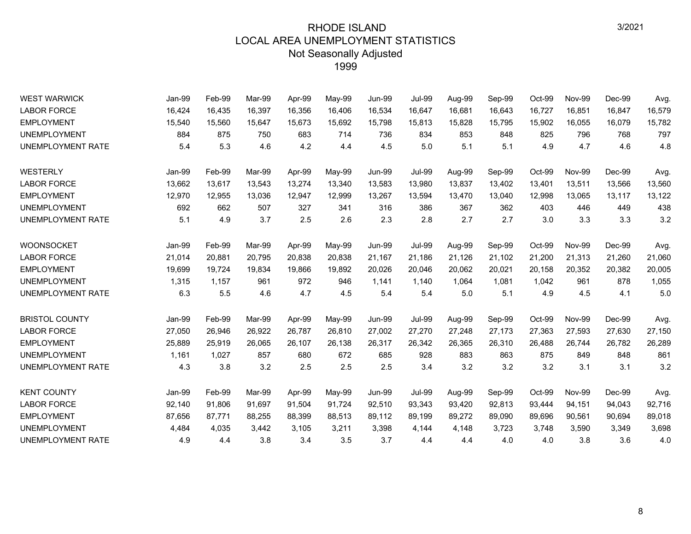| <b>WEST WARWICK</b>      | Jan-99 | Feb-99 | Mar-99 | Apr-99 | May-99 | <b>Jun-99</b> | <b>Jul-99</b> | Aug-99 | Sep-99 | Oct-99 | <b>Nov-99</b> | Dec-99 | Avg.   |
|--------------------------|--------|--------|--------|--------|--------|---------------|---------------|--------|--------|--------|---------------|--------|--------|
| <b>LABOR FORCE</b>       | 16,424 | 16,435 | 16,397 | 16,356 | 16,406 | 16,534        | 16,647        | 16,681 | 16,643 | 16,727 | 16,851        | 16,847 | 16,579 |
| <b>EMPLOYMENT</b>        | 15,540 | 15,560 | 15,647 | 15,673 | 15,692 | 15,798        | 15,813        | 15,828 | 15,795 | 15,902 | 16,055        | 16,079 | 15,782 |
| <b>UNEMPLOYMENT</b>      | 884    | 875    | 750    | 683    | 714    | 736           | 834           | 853    | 848    | 825    | 796           | 768    | 797    |
| <b>UNEMPLOYMENT RATE</b> | 5.4    | 5.3    | 4.6    | 4.2    | 4.4    | 4.5           | 5.0           | 5.1    | 5.1    | 4.9    | 4.7           | 4.6    | 4.8    |
| WESTERLY                 | Jan-99 | Feb-99 | Mar-99 | Apr-99 | May-99 | <b>Jun-99</b> | <b>Jul-99</b> | Aug-99 | Sep-99 | Oct-99 | <b>Nov-99</b> | Dec-99 | Avg.   |
| <b>LABOR FORCE</b>       | 13,662 | 13,617 | 13,543 | 13,274 | 13,340 | 13,583        | 13,980        | 13,837 | 13,402 | 13,401 | 13,511        | 13,566 | 13,560 |
| <b>EMPLOYMENT</b>        | 12,970 | 12,955 | 13,036 | 12,947 | 12,999 | 13,267        | 13,594        | 13,470 | 13,040 | 12,998 | 13,065        | 13,117 | 13,122 |
| <b>UNEMPLOYMENT</b>      | 692    | 662    | 507    | 327    | 341    | 316           | 386           | 367    | 362    | 403    | 446           | 449    | 438    |
| UNEMPLOYMENT RATE        | 5.1    | 4.9    | 3.7    | 2.5    | 2.6    | 2.3           | 2.8           | 2.7    | 2.7    | 3.0    | 3.3           | 3.3    | 3.2    |
| <b>WOONSOCKET</b>        | Jan-99 | Feb-99 | Mar-99 | Apr-99 | May-99 | <b>Jun-99</b> | <b>Jul-99</b> | Aug-99 | Sep-99 | Oct-99 | <b>Nov-99</b> | Dec-99 | Avg.   |
| <b>LABOR FORCE</b>       | 21,014 | 20,881 | 20,795 | 20,838 | 20,838 | 21,167        | 21,186        | 21,126 | 21,102 | 21,200 | 21,313        | 21,260 | 21,060 |
| <b>EMPLOYMENT</b>        | 19,699 | 19,724 | 19,834 | 19,866 | 19,892 | 20,026        | 20,046        | 20,062 | 20,021 | 20,158 | 20,352        | 20,382 | 20,005 |
| <b>UNEMPLOYMENT</b>      | 1,315  | 1,157  | 961    | 972    | 946    | 1,141         | 1,140         | 1,064  | 1,081  | 1,042  | 961           | 878    | 1,055  |
| UNEMPLOYMENT RATE        | 6.3    | 5.5    | 4.6    | 4.7    | 4.5    | 5.4           | 5.4           | 5.0    | 5.1    | 4.9    | 4.5           | 4.1    | 5.0    |
| <b>BRISTOL COUNTY</b>    | Jan-99 | Feb-99 | Mar-99 | Apr-99 | May-99 | <b>Jun-99</b> | <b>Jul-99</b> | Aug-99 | Sep-99 | Oct-99 | <b>Nov-99</b> | Dec-99 | Avg.   |
| <b>LABOR FORCE</b>       | 27,050 | 26,946 | 26,922 | 26,787 | 26,810 | 27,002        | 27,270        | 27,248 | 27,173 | 27,363 | 27,593        | 27,630 | 27,150 |
| <b>EMPLOYMENT</b>        | 25,889 | 25,919 | 26,065 | 26,107 | 26,138 | 26,317        | 26,342        | 26,365 | 26,310 | 26,488 | 26,744        | 26,782 | 26,289 |
| <b>UNEMPLOYMENT</b>      | 1,161  | 1,027  | 857    | 680    | 672    | 685           | 928           | 883    | 863    | 875    | 849           | 848    | 861    |
| UNEMPLOYMENT RATE        | 4.3    | 3.8    | 3.2    | 2.5    | 2.5    | 2.5           | 3.4           | 3.2    | 3.2    | 3.2    | 3.1           | 3.1    | 3.2    |
| <b>KENT COUNTY</b>       | Jan-99 | Feb-99 | Mar-99 | Apr-99 | May-99 | <b>Jun-99</b> | <b>Jul-99</b> | Aug-99 | Sep-99 | Oct-99 | <b>Nov-99</b> | Dec-99 | Avg.   |
| <b>LABOR FORCE</b>       | 92,140 | 91,806 | 91,697 | 91,504 | 91,724 | 92,510        | 93,343        | 93,420 | 92,813 | 93,444 | 94,151        | 94,043 | 92,716 |
| <b>EMPLOYMENT</b>        | 87,656 | 87,771 | 88,255 | 88,399 | 88,513 | 89,112        | 89,199        | 89,272 | 89,090 | 89,696 | 90,561        | 90,694 | 89,018 |
| <b>UNEMPLOYMENT</b>      | 4,484  | 4,035  | 3,442  | 3,105  | 3,211  | 3,398         | 4,144         | 4,148  | 3,723  | 3,748  | 3,590         | 3,349  | 3,698  |
| UNEMPLOYMENT RATE        | 4.9    | 4.4    | 3.8    | 3.4    | 3.5    | 3.7           | 4.4           | 4.4    | 4.0    | 4.0    | 3.8           | 3.6    | 4.0    |